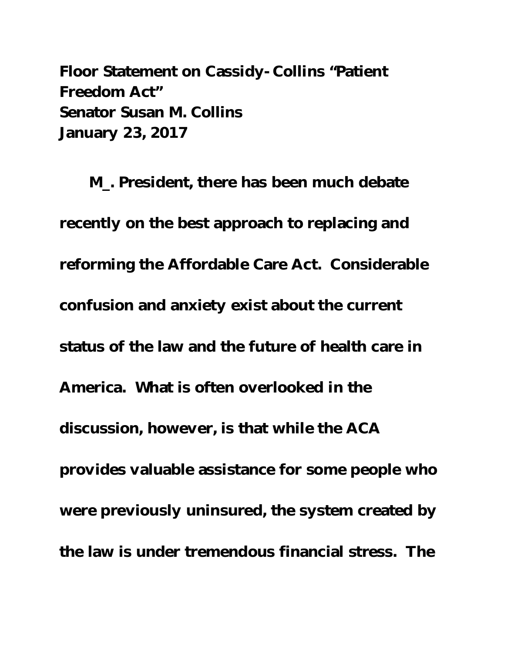Floor Statement on Cassidy-Collins "Patient Freedom Act" Senator Susan M. Collins January 23, 2017

M\_. President, there has been much debate recently on the best approach to replacing and reforming the Affordable Care Act. Considerable confusion and anxiety exist about the current status of the law and the future of health care in America. What is often overlooked in the discussion, however, is that while the ACA provides valuable assistance for some people who were previously uninsured, the system created by the law is under tremendous financial stress. The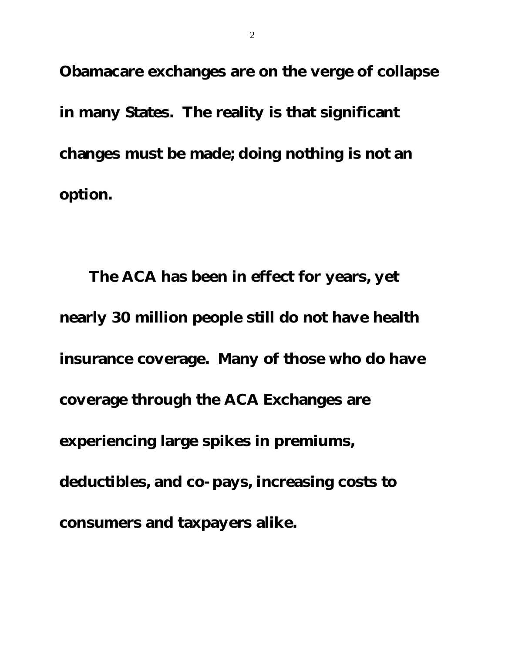Obamacare exchanges are on the verge of collapse in many States. The reality is that significant changes must be made; doing nothing is not an option.

The ACA has been in effect for years, yet nearly 30 million people still do not have health insurance coverage. Many of those who do have coverage through the ACA Exchanges are experiencing large spikes in premiums, deductibles, and co-pays, increasing costs to consumers and taxpayers alike.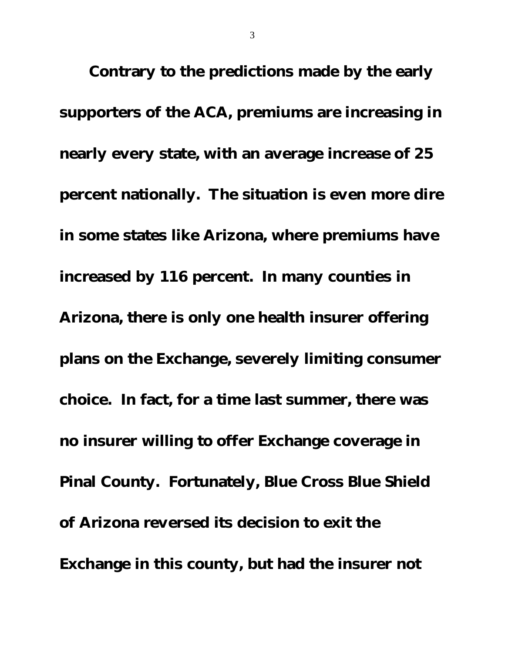Contrary to the predictions made by the early supporters of the ACA, premiums are increasing in nearly every state, with an average increase of 25 percent nationally. The situation is even more dire in some states like Arizona, where premiums have increased by 116 percent. In many counties in Arizona, there is only one health insurer offering plans on the Exchange, severely limiting consumer choice. In fact, for a time last summer, there was no insurer willing to offer Exchange coverage in Pinal County. Fortunately, Blue Cross Blue Shield of Arizona reversed its decision to exit the Exchange in this county, but had the insurer not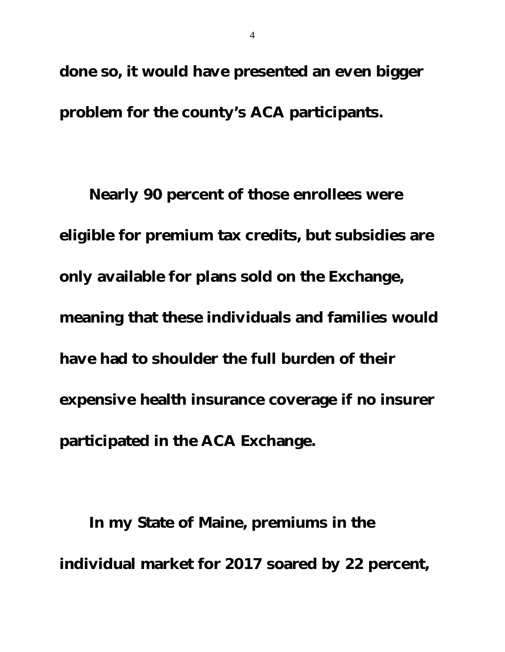done so, it would have presented an even bigger problem for the county's ACA participants.

Nearly 90 percent of those enrollees were eligible for premium tax credits, but subsidies are only available for plans sold on the Exchange, meaning that these individuals and families would have had to shoulder the full burden of their expensive health insurance coverage if no insurer participated in the ACA Exchange.

In my State of Maine, premiums in the individual market for 2017 soared by 22 percent,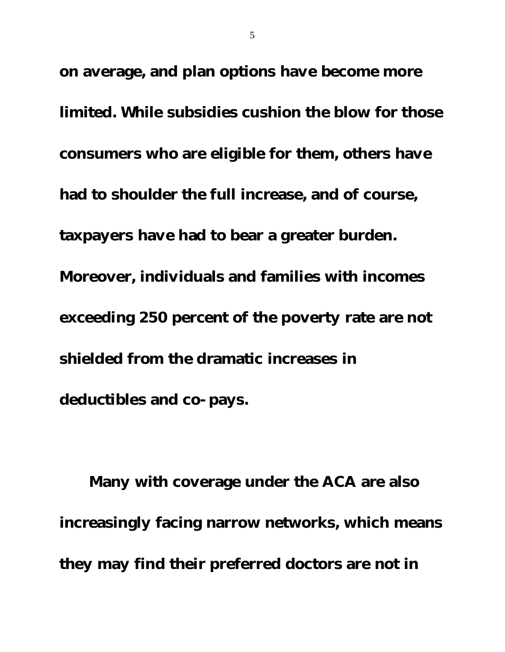on average, and plan options have become more limited. While subsidies cushion the blow for those consumers who are eligible for them, others have had to shoulder the full increase, and of course, taxpayers have had to bear a greater burden. Moreover, individuals and families with incomes exceeding 250 percent of the poverty rate are not shielded from the dramatic increases in deductibles and co-pays.

Many with coverage under the ACA are also increasingly facing narrow networks, which means they may find their preferred doctors are not in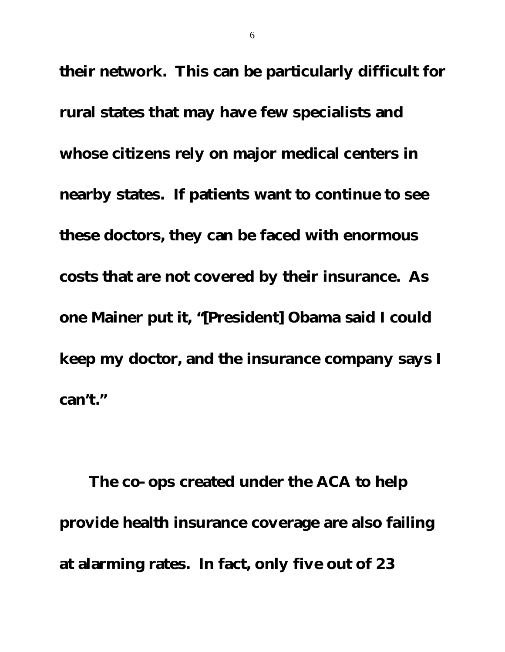their network. This can be particularly difficult for rural states that may have few specialists and whose citizens rely on major medical centers in nearby states. If patients want to continue to see these doctors, they can be faced with enormous costs that are not covered by their insurance. As one Mainer put it, "[President] Obama said I could keep my doctor, and the insurance company says I can't."

The co-ops created under the ACA to help provide health insurance coverage are also failing at alarming rates. In fact, only five out of 23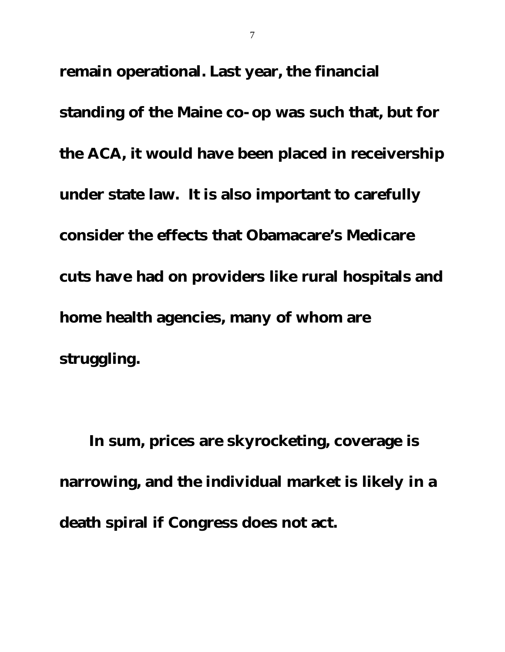remain operational. Last year, the financial

standing of the Maine co-op was such that, but for the ACA, it would have been placed in receivership under state law. It is also important to carefully consider the effects that Obamacare's Medicare cuts have had on providers like rural hospitals and home health agencies, many of whom are struggling.

In sum, prices are skyrocketing, coverage is narrowing, and the individual market is likely in a death spiral if Congress does not act.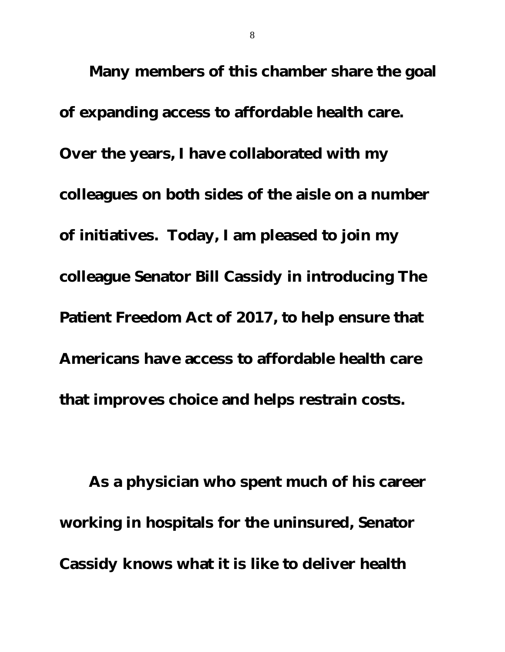Many members of this chamber share the goal of expanding access to affordable health care. Over the years, I have collaborated with my colleagues on both sides of the aisle on a number of initiatives. Today, I am pleased to join my colleague Senator Bill Cassidy in introducing The Patient Freedom Act of 2017, to help ensure that Americans have access to affordable health care that improves choice and helps restrain costs.

As a physician who spent much of his career working in hospitals for the uninsured, Senator Cassidy knows what it is like to deliver health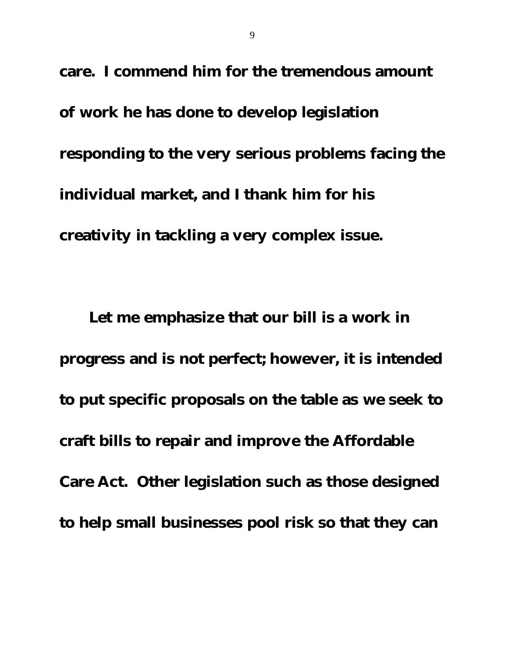care. I commend him for the tremendous amount of work he has done to develop legislation responding to the very serious problems facing the individual market, and I thank him for his creativity in tackling a very complex issue.

Let me emphasize that our bill is a work in progress and is not perfect; however, it is intended to put specific proposals on the table as we seek to craft bills to repair and improve the Affordable Care Act. Other legislation such as those designed to help small businesses pool risk so that they can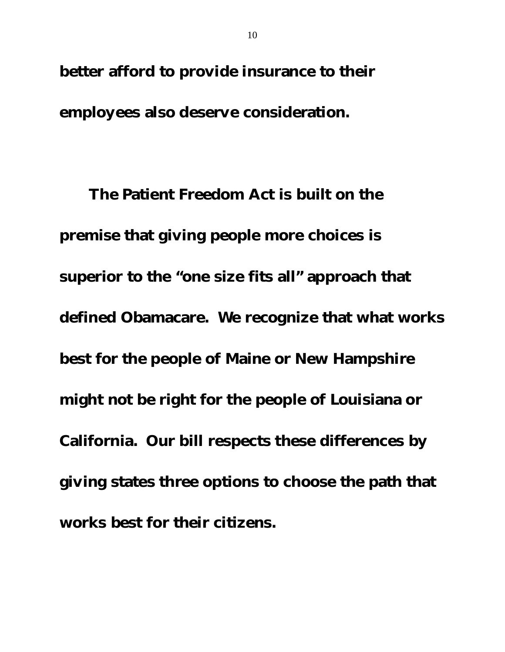better afford to provide insurance to their

employees also deserve consideration.

The Patient Freedom Act is built on the premise that giving people more choices is superior to the "one size fits all" approach that defined Obamacare. We recognize that what works best for the people of Maine or New Hampshire might not be right for the people of Louisiana or California. Our bill respects these differences by giving states three options to choose the path that works best for their citizens.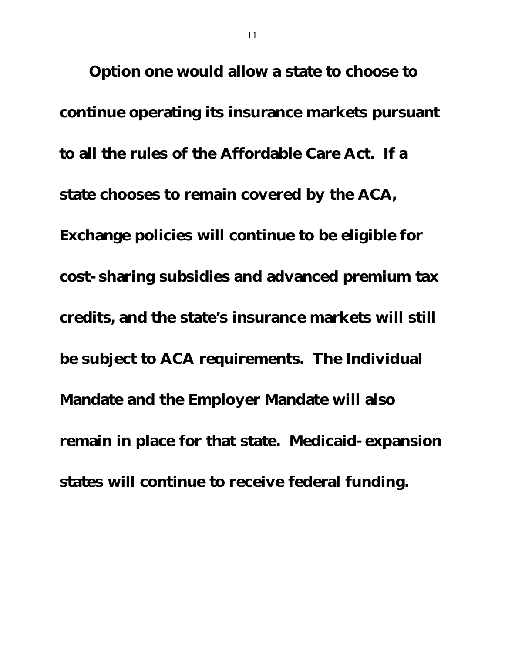Option one would allow a state to choose to continue operating its insurance markets pursuant to all the rules of the Affordable Care Act. If a state chooses to remain covered by the ACA, Exchange policies will continue to be eligible for cost-sharing subsidies and advanced premium tax credits, and the state's insurance markets will still be subject to ACA requirements. The Individual Mandate and the Employer Mandate will also remain in place for that state. Medicaid-expansion states will continue to receive federal funding.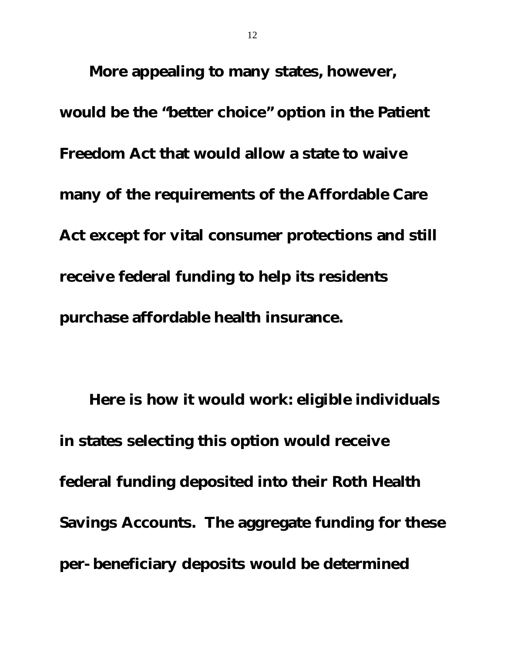More appealing to many states, however, would be the "better choice" option in the Patient Freedom Act that would allow a state to waive many of the requirements of the Affordable Care Act except for vital consumer protections and still receive federal funding to help its residents purchase affordable health insurance.

Here is how it would work: eligible individuals in states selecting this option would receive federal funding deposited into their Roth Health Savings Accounts. The aggregate funding for these per-beneficiary deposits would be determined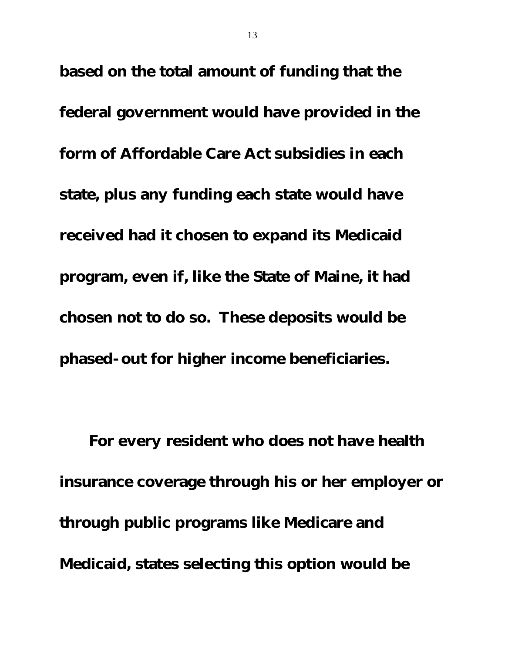based on the total amount of funding that the federal government would have provided in the form of Affordable Care Act subsidies in each state, plus any funding each state would have received had it chosen to expand its Medicaid program, even if, like the State of Maine, it had chosen not to do so. These deposits would be phased-out for higher income beneficiaries.

For every resident who does not have health insurance coverage through his or her employer or through public programs like Medicare and Medicaid, states selecting this option would be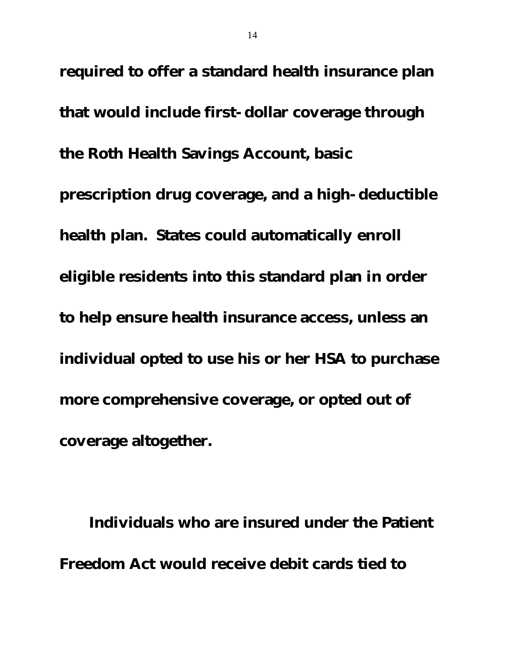required to offer a standard health insurance plan that would include first-dollar coverage through the Roth Health Savings Account, basic prescription drug coverage, and a high-deductible health plan. States could automatically enroll eligible residents into this standard plan in order to help ensure health insurance access, unless an individual opted to use his or her HSA to purchase more comprehensive coverage, or opted out of coverage altogether.

Individuals who are insured under the Patient Freedom Act would receive debit cards tied to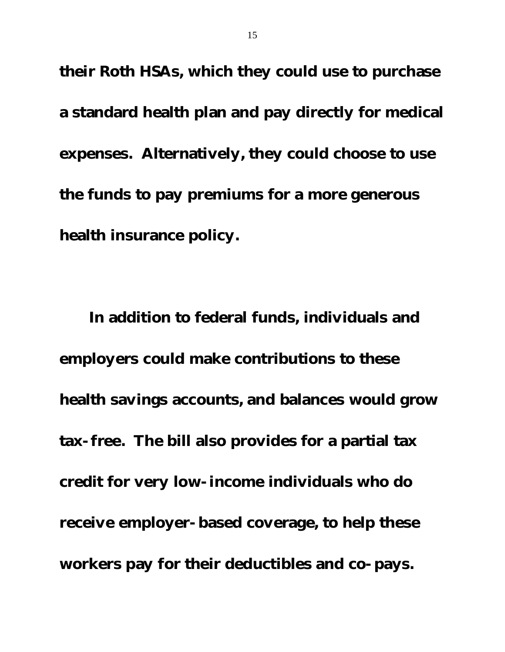their Roth HSAs, which they could use to purchase a standard health plan and pay directly for medical expenses. Alternatively, they could choose to use the funds to pay premiums for a more generous health insurance policy.

In addition to federal funds, individuals and employers could make contributions to these health savings accounts, and balances would grow tax-free. The bill also provides for a partial tax credit for very low-income individuals who do receive employer-based coverage, to help these workers pay for their deductibles and co-pays.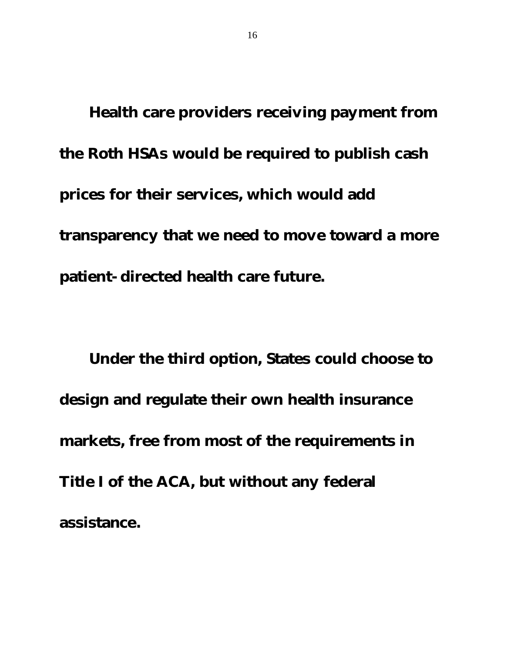Health care providers receiving payment from the Roth HSAs would be required to publish cash prices for their services, which would add transparency that we need to move toward a more patient-directed health care future.

Under the third option, States could choose to design and regulate their own health insurance markets, free from most of the requirements in Title I of the ACA, but without any federal assistance.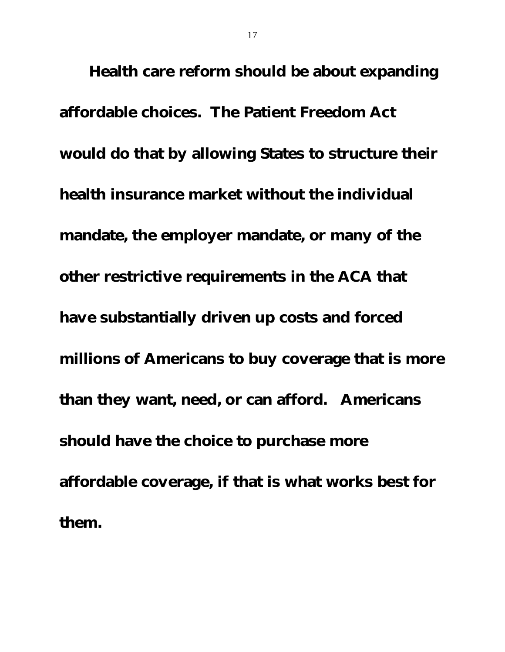Health care reform should be about expanding affordable choices. The Patient Freedom Act would do that by allowing States to structure their health insurance market without the individual mandate, the employer mandate, or many of the other restrictive requirements in the ACA that have substantially driven up costs and forced millions of Americans to buy coverage that is more than they want, need, or can afford. Americans should have the choice to purchase more affordable coverage, if that is what works best for them.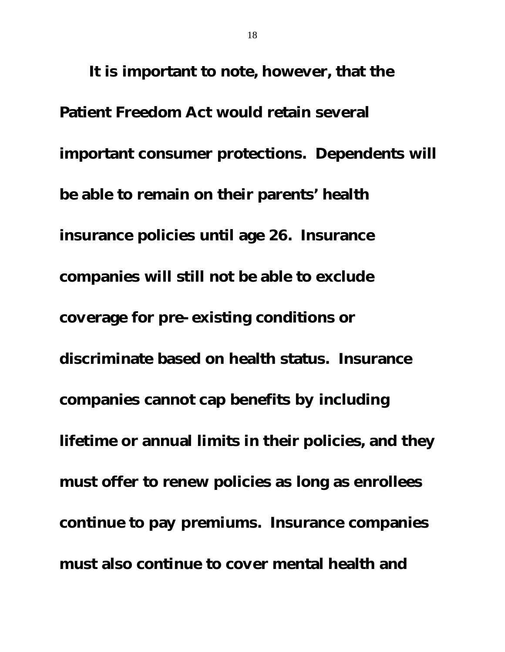It is important to note, however, that the Patient Freedom Act would retain several important consumer protections. Dependents will be able to remain on their parents' health insurance policies until age 26. Insurance companies will still not be able to exclude coverage for pre-existing conditions or discriminate based on health status. Insurance companies cannot cap benefits by including lifetime or annual limits in their policies, and they must offer to renew policies as long as enrollees continue to pay premiums. Insurance companies must also continue to cover mental health and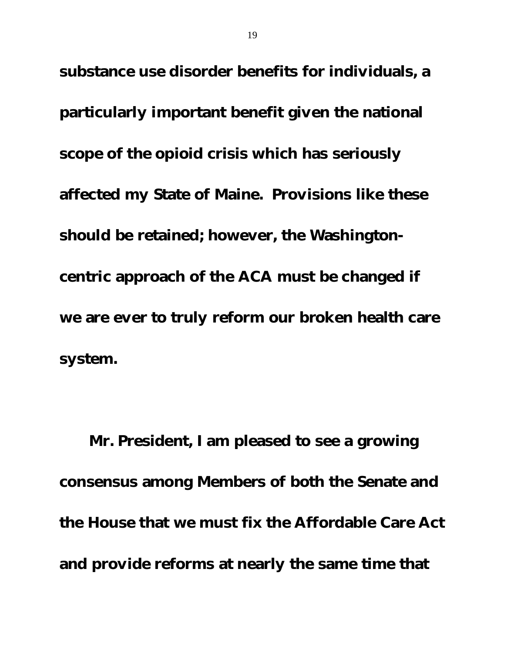substance use disorder benefits for individuals, a particularly important benefit given the national scope of the opioid crisis which has seriously affected my State of Maine. Provisions like these should be retained; however, the Washingtoncentric approach of the ACA must be changed if we are ever to truly reform our broken health care system.

Mr. President, I am pleased to see a growing consensus among Members of both the Senate and the House that we must fix the Affordable Care Act and provide reforms at nearly the same time that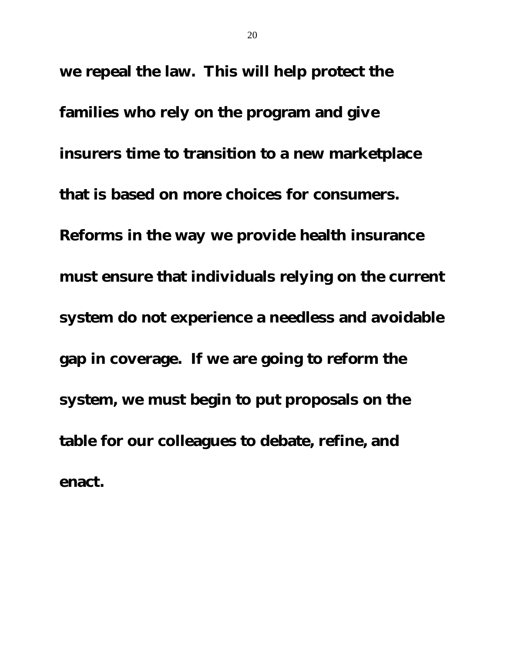we repeal the law. This will help protect the families who rely on the program and give insurers time to transition to a new marketplace that is based on more choices for consumers. Reforms in the way we provide health insurance must ensure that individuals relying on the current system do not experience a needless and avoidable gap in coverage. If we are going to reform the system, we must begin to put proposals on the table for our colleagues to debate, refine, and enact.